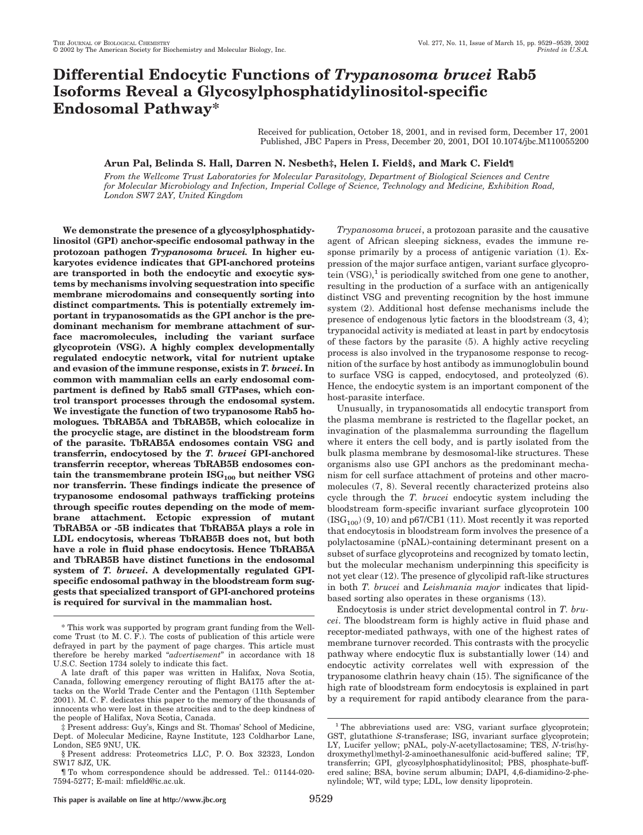# **Differential Endocytic Functions of** *Trypanosoma brucei* **Rab5 Isoforms Reveal a Glycosylphosphatidylinositol-specific Endosomal Pathway\***

Received for publication, October 18, 2001, and in revised form, December 17, 2001 Published, JBC Papers in Press, December 20, 2001, DOI 10.1074/jbc.M110055200

# **Arun Pal, Belinda S. Hall, Darren N. Nesbeth‡, Helen I. Field§, and Mark C. Field¶**

*From the Wellcome Trust Laboratories for Molecular Parasitology, Department of Biological Sciences and Centre for Molecular Microbiology and Infection, Imperial College of Science, Technology and Medicine, Exhibition Road, London SW7 2AY, United Kingdom*

**We demonstrate the presence of a glycosylphosphatidylinositol (GPI) anchor-specific endosomal pathway in the protozoan pathogen** *Trypanosoma brucei.* **In higher eukaryotes evidence indicates that GPI-anchored proteins are transported in both the endocytic and exocytic systems by mechanisms involving sequestration into specific membrane microdomains and consequently sorting into distinct compartments. This is potentially extremely important in trypanosomatids as the GPI anchor is the predominant mechanism for membrane attachment of surface macromolecules, including the variant surface glycoprotein (VSG). A highly complex developmentally regulated endocytic network, vital for nutrient uptake and evasion of the immune response, exists in** *T. brucei***. In common with mammalian cells an early endosomal compartment is defined by Rab5 small GTPases, which control transport processes through the endosomal system. We investigate the function of two trypanosome Rab5 homologues. TbRAB5A and TbRAB5B, which colocalize in the procyclic stage, are distinct in the bloodstream form of the parasite. TbRAB5A endosomes contain VSG and transferrin, endocytosed by the** *T. brucei* **GPI-anchored transferrin receptor, whereas TbRAB5B endosomes con** $t$ ain the transmembrane protein  $\text{ISG}_{100}$  but neither VSG **nor transferrin. These findings indicate the presence of trypanosome endosomal pathways trafficking proteins through specific routes depending on the mode of membrane attachment. Ectopic expression of mutant TbRAB5A or -5B indicates that TbRAB5A plays a role in LDL endocytosis, whereas TbRAB5B does not, but both have a role in fluid phase endocytosis. Hence TbRAB5A and TbRAB5B have distinct functions in the endosomal system of** *T. brucei***. A developmentally regulated GPIspecific endosomal pathway in the bloodstream form suggests that specialized transport of GPI-anchored proteins is required for survival in the mammalian host.**

*Trypanosoma brucei*, a protozoan parasite and the causative agent of African sleeping sickness, evades the immune response primarily by a process of antigenic variation (1). Expression of the major surface antigen, variant surface glycoprotein  $(VSG)$ ,<sup>1</sup> is periodically switched from one gene to another, resulting in the production of a surface with an antigenically distinct VSG and preventing recognition by the host immune system (2). Additional host defense mechanisms include the presence of endogenous lytic factors in the bloodstream (3, 4); trypanocidal activity is mediated at least in part by endocytosis of these factors by the parasite (5). A highly active recycling process is also involved in the trypanosome response to recognition of the surface by host antibody as immunoglobulin bound to surface VSG is capped, endocytosed, and proteolyzed (6). Hence, the endocytic system is an important component of the host-parasite interface.

Unusually, in trypanosomatids all endocytic transport from the plasma membrane is restricted to the flagellar pocket, an invagination of the plasmalemma surrounding the flagellum where it enters the cell body, and is partly isolated from the bulk plasma membrane by desmosomal-like structures. These organisms also use GPI anchors as the predominant mechanism for cell surface attachment of proteins and other macromolecules (7, 8). Several recently characterized proteins also cycle through the *T. brucei* endocytic system including the bloodstream form-specific invariant surface glycoprotein 100  $(ISG<sub>100</sub>) (9, 10)$  and p67/CB1 (11). Most recently it was reported that endocytosis in bloodstream form involves the presence of a polylactosamine (pNAL)-containing determinant present on a subset of surface glycoproteins and recognized by tomato lectin, but the molecular mechanism underpinning this specificity is not yet clear (12). The presence of glycolipid raft-like structures in both *T. brucei* and *Leishmania major* indicates that lipidbased sorting also operates in these organisms (13).

Endocytosis is under strict developmental control in *T. brucei*. The bloodstream form is highly active in fluid phase and receptor-mediated pathways, with one of the highest rates of membrane turnover recorded. This contrasts with the procyclic pathway where endocytic flux is substantially lower (14) and endocytic activity correlates well with expression of the trypanosome clathrin heavy chain (15). The significance of the high rate of bloodstream form endocytosis is explained in part by a requirement for rapid antibody clearance from the para-

<sup>\*</sup> This work was supported by program grant funding from the Wellcome Trust (to M. C. F.). The costs of publication of this article were defrayed in part by the payment of page charges. This article must therefore be hereby marked "*advertisement*" in accordance with 18 U.S.C. Section 1734 solely to indicate this fact.

A late draft of this paper was written in Halifax, Nova Scotia, Canada, following emergency rerouting of flight BA175 after the attacks on the World Trade Center and the Pentagon (11th September 2001). M. C. F. dedicates this paper to the memory of the thousands of innocents who were lost in these atrocities and to the deep kindness of the people of Halifax, Nova Scotia, Canada.

<sup>‡</sup> Present address: Guy's, Kings and St. Thomas' School of Medicine, Dept. of Molecular Medicine, Rayne Institute, 123 Coldharbor Lane, London, SE5 9NU, UK.

<sup>§</sup> Present address: Proteometrics LLC, P. O. Box 32323, London SW17 8JZ, UK.

<sup>¶</sup> To whom correspondence should be addressed. Tel.: 01144-020- 7594-5277; E-mail: mfield@ic.ac.uk.

<sup>&</sup>lt;sup>1</sup> The abbreviations used are: VSG, variant surface glycoprotein; GST, glutathione *S*-transferase; ISG, invariant surface glycoprotein; LY, Lucifer yellow; pNAL, poly-*N*-acetyllactosamine; TES, *N-*tris(hydroxymethyl)methyl-2-aminoethanesulfonic acid-buffered saline; TF, transferrin; GPI, glycosylphosphatidylinositol; PBS, phosphate-buffered saline; BSA, bovine serum albumin; DAPI, 4,6-diamidino-2-phenylindole; WT, wild type; LDL, low density lipoprotein.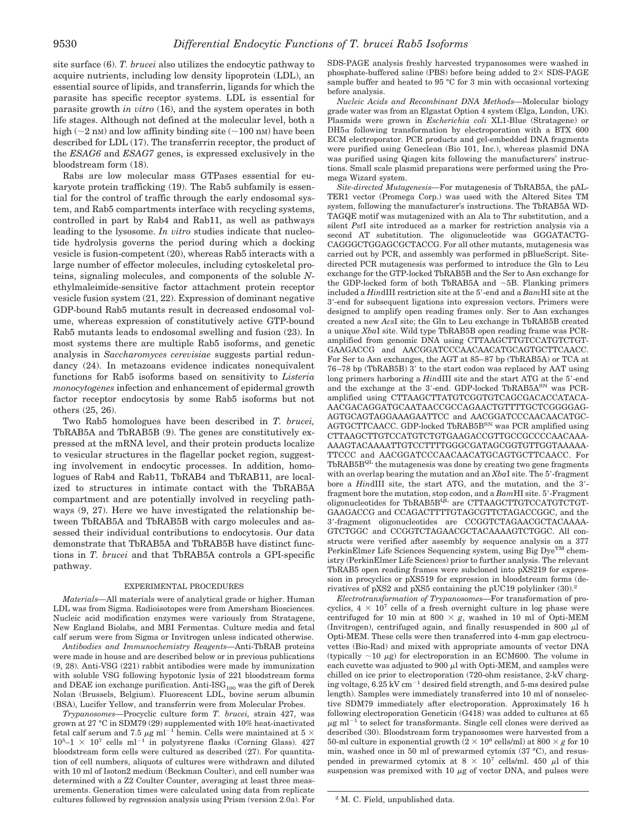site surface (6). *T. brucei* also utilizes the endocytic pathway to acquire nutrients, including low density lipoprotein (LDL), an essential source of lipids, and transferrin, ligands for which the parasite has specific receptor systems. LDL is essential for parasite growth *in vitro* (16), and the system operates in both life stages. Although not defined at the molecular level, both a high ( $\sim$ 2 nM) and low affinity binding site ( $\sim$ 100 nM) have been described for LDL (17). The transferrin receptor, the product of the *ESAG6* and *ESAG7* genes, is expressed exclusively in the bloodstream form (18).

Rabs are low molecular mass GTPases essential for eukaryote protein trafficking (19). The Rab5 subfamily is essential for the control of traffic through the early endosomal system, and Rab5 compartments interface with recycling systems, controlled in part by Rab4 and Rab11, as well as pathways leading to the lysosome. *In vitro* studies indicate that nucleotide hydrolysis governs the period during which a docking vesicle is fusion-competent (20), whereas Rab5 interacts with a large number of effector molecules, including cytoskeletal proteins, signaling molecules, and components of the soluble *N*ethylmaleimide-sensitive factor attachment protein receptor vesicle fusion system (21, 22). Expression of dominant negative GDP-bound Rab5 mutants result in decreased endosomal volume, whereas expression of constitutively active GTP-bound Rab5 mutants leads to endosomal swelling and fusion (23). In most systems there are multiple Rab5 isoforms, and genetic analysis in *Saccharomyces cerevisiae* suggests partial redundancy (24). In metazoans evidence indicates nonequivalent functions for Rab5 isoforms based on sensitivity to *Listeria monocytogenes* infection and enhancement of epidermal growth factor receptor endocytosis by some Rab5 isoforms but not others (25, 26).

Two Rab5 homologues have been described in *T. brucei,* TbRAB5A and TbRAB5B (9). The genes are constitutively expressed at the mRNA level, and their protein products localize to vesicular structures in the flagellar pocket region, suggesting involvement in endocytic processes. In addition, homologues of Rab4 and Rab11, TbRAB4 and TbRAB11, are localized to structures in intimate contact with the TbRAB5A compartment and are potentially involved in recycling pathways (9, 27). Here we have investigated the relationship between TbRAB5A and TbRAB5B with cargo molecules and assessed their individual contributions to endocytosis. Our data demonstrate that TbRAB5A and TbRAB5B have distinct functions in *T. brucei* and that TbRAB5A controls a GPI-specific pathway.

#### EXPERIMENTAL PROCEDURES

*Materials—*All materials were of analytical grade or higher. Human LDL was from Sigma. Radioisotopes were from Amersham Biosciences. Nucleic acid modification enzymes were variously from Stratagene, New England Biolabs, and MBI Fermentas. Culture media and fetal calf serum were from Sigma or Invitrogen unless indicated otherwise.

*Antibodies and Immunochemistry Reagents—*Anti-TbRAB proteins were made in house and are described below or in previous publications (9, 28). Anti-VSG (221) rabbit antibodies were made by immunization with soluble VSG following hypotonic lysis of 221 bloodstream forms and DEAE ion exchange purification. Anti-ISG $_{\rm 100}$  was the gift of Derek Nolan (Brussels, Belgium). Fluorescent LDL, bovine serum albumin (BSA), Lucifer Yellow, and transferrin were from Molecular Probes.

*Trypanosomes—*Procyclic culture form *T. brucei,* strain 427, was grown at 27 °C in SDM79 (29) supplemented with 10% heat-inactivated fetal calf serum and 7.5  $\mu$ g ml<sup>-1</sup> hemin. Cells were maintained at 5  $\times$  $10^5$ -1 ×  $10^7$  cells ml<sup>-1</sup> in polystyrene flasks (Corning Glass). 427 bloodstream form cells were cultured as described (27). For quantitation of cell numbers, aliquots of cultures were withdrawn and diluted with 10 ml of Isoton2 medium (Beckman Coulter), and cell number was determined with a Z2 Coulter Counter, averaging at least three measurements. Generation times were calculated using data from replicate cultures followed by regression analysis using Prism (version 2.0a). For SDS-PAGE analysis freshly harvested trypanosomes were washed in phosphate-buffered saline (PBS) before being added to  $2 \times$  SDS-PAGE sample buffer and heated to 95 °C for 3 min with occasional vortexing before analysis.

*Nucleic Acids and Recombinant DNA Methods—*Molecular biology grade water was from an Elgastat Option 4 system (Elga, London, UK). Plasmids were grown in *Escherichia coli* XL1-Blue (Stratagene) or  $DH5\alpha$  following transformation by electroporation with a BTX 600 ECM electroporator. PCR products and gel-embedded DNA fragments were purified using Geneclean (Bio 101, Inc.), whereas plasmid DNA was purified using Qiagen kits following the manufacturers' instructions. Small scale plasmid preparations were performed using the Promega Wizard system.

*Site-directed Mutagenesis—*For mutagenesis of TbRAB5A, the pAL-TER1 vector (Promega Corp.) was used with the Altered Sites TM system, following the manufacturer's instructions. The TbRAB5A WD-TAGQE motif was mutagenized with an Ala to Thr substitution, and a silent *Pst*I site introduced as a marker for restriction analysis via a second AT substitution. The oligonucleotide was GGGATACTG-CAGGGCTGGAGCGCTACCG. For all other mutants, mutagenesis was carried out by PCR, and assembly was performed in pBlueScript. Sitedirected PCR mutagenesis was performed to introduce the Gln to Leu exchange for the GTP-locked TbRAB5B and the Ser to Asn exchange for the GDP-locked form of both TbRAB5A and -5B. Flanking primers included a *Hin*dIII restriction site at the 5-end and a *Bam*HI site at the 3-end for subsequent ligations into expression vectors. Primers were designed to amplify open reading frames only. Ser to Asn exchanges created a new *Acs*I site; the Gln to Leu exchange in TbRAB5B created a unique *Xba*I site. Wild type TbRAB5B open reading frame was PCRamplified from genomic DNA using CTTAAGCTTGTCCATGTCTGT-GAAGACCG and AACGGATCCCAACAACATGCAGTGCTTCAACC. For Ser to Asn exchanges, the AGT at 85–87 bp (TbRAB5A) or TCA at 76–78 bp (TbRAB5B) 3' to the start codon was replaced by AAT using long primers harboring a *HindIII* site and the start ATG at the 5'-end and the exchange at the 3'-end. GDP-locked  $\operatorname{TbRAB5A^{SN}}$  was PCRamplified using CTTAAGCTTATGTCGGTGTCAGCGACACCATACA-AACGACAGGATGCAATAACCGCCAGAACTGTTTTGCTCGGGGAG-AGTGCAGTAGGAAAGAATTCC and AACGGATCCCAACAACATGC-AGTGCTTCAACC. GDP-locked TbRAB5 $B^{SN}$  was PCR amplified using CTTAAGCTTGTCCATGTCTGTGAAGACCGTTGCCGCCCCAACAAA-AAAGTACAAAATTGTCCTTTTGGGCGATAGCGGTGTTGGTAAAAA-TTCCC and AACGGATCCCAACAACATGCAGTGCTTCAACC. For  $TbRAB5B^{QL}$  the mutagenesis was done by creating two gene fragments with an overlap bearing the mutation and an *XbaI* site. The 5'-fragment bore a *Hin*dIII site, the start ATG, and the mutation, and the 3 fragment bore the mutation, stop codon, and a *Bam*HI site. 5-Fragment oligonucleotides for  $ThRAB5B^{QL}$  are  $CTTAAGCTTGTCCATGTCTGT-$ GAAGACCG and CCAGACTTTTGTAGCGTTCTAGACCGGC, and the 3-fragment oligonucleotides are CCGGTCTAGAACGCTACAAAA-GTCTGGC and CCGGTCTAGAACGCTACAAAAGTCTGGC. All constructs were verified after assembly by sequence analysis on a 377 PerkinElmer Life Sciences Sequencing system, using Big Dye<sup>TM</sup> chemistry (PerkinElmer Life Sciences) prior to further analysis. The relevant TbRAB5 open reading frames were subcloned into pXS219 for expression in procyclics or pXS519 for expression in bloodstream forms (derivatives of pXS2 and pXS5 containing the pUC19 polylinker (30).2

*Electrotransformation of Trypanosomes—*For transformation of procyclics,  $4 \times 10^7$  cells of a fresh overnight culture in log phase were centrifuged for 10 min at 800  $\times$  g, washed in 10 ml of Opti-MEM (Invitrogen), centrifuged again, and finally resuspended in 800  $\mu$ l of Opti-MEM. These cells were then transferred into 4-mm gap electrocuvettes (Bio-Rad) and mixed with appropriate amounts of vector DNA (typically  $\sim$ 10  $\mu$ g) for electroporation in an ECM600. The volume in each cuvette was adjusted to 900  $\mu$ l with Opti-MEM, and samples were chilled on ice prior to electroporation (720-ohm resistance, 2-kV charging voltage, 6.25 kV cm-<sup>1</sup> desired field strength, and 5-ms desired pulse length). Samples were immediately transferred into 10 ml of nonselective SDM79 immediately after electroporation. Approximately 16 h following electroporation Geneticin (G418) was added to cultures at 65  $\mu$ g ml<sup>-1</sup> to select for transformants. Single cell clones were derived as described (30). Bloodstream form trypanosomes were harvested from a 50-ml culture in exponential growth  $(2 \times 10^6 \text{ cells/ml})$  at  $800 \times g$  for 10 min, washed once in 50 ml of prewarmed cytomix (37 °C), and resuspended in prewarmed cytomix at  $8 \times 10^7$  cells/ml. 450  $\mu$ l of this suspension was premixed with 10  $\mu$ g of vector DNA, and pulses were

<sup>2</sup> M. C. Field, unpublished data.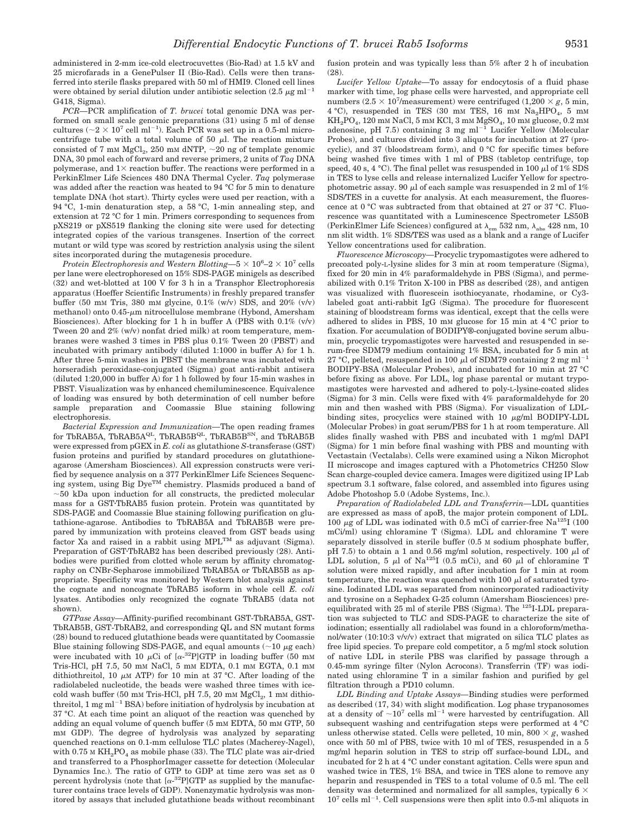administered in 2-mm ice-cold electrocuvettes (Bio-Rad) at 1.5 kV and 25 microfarads in a GenePulser II (Bio-Rad). Cells were then transferred into sterile flasks prepared with 50 ml of HMI9. Cloned cell lines were obtained by serial dilution under antibiotic selection  $(2.5 \ \mu g \ ml^{-1})$ G418, Sigma).

*PCR—*PCR amplification of *T. brucei* total genomic DNA was performed on small scale genomic preparations (31) using 5 ml of dense cultures ( $\sim$ 2  $\times$  10<sup>7</sup> cell ml<sup>-1</sup>). Each PCR was set up in a 0.5-ml microcentrifuge tube with a total volume of 50  $\mu$ l. The reaction mixture consisted of 7 mm  $MgCl<sub>2</sub>$ , 250 mm dNTP,  $\sim$  20 ng of template genomic DNA, 30 pmol each of forward and reverse primers, 2 units of *Taq* DNA polymerase, and  $1\times$  reaction buffer. The reactions were performed in a PerkinElmer Life Sciences 480 DNA Thermal Cycler. *Taq* polymerase was added after the reaction was heated to 94 °C for 5 min to denature template DNA (hot start). Thirty cycles were used per reaction, with a 94 °C, 1-min denaturation step, a 58 °C, 1-min annealing step, and extension at 72 °C for 1 min. Primers corresponding to sequences from pXS219 or pXS519 flanking the cloning site were used for detecting integrated copies of the various transgenes. Insertion of the correct mutant or wild type was scored by restriction analysis using the silent sites incorporated during the mutagenesis procedure.

*Protein Electrophoresis and Western Blotting*— $5 \times 10^6$ – $2 \times 10^7$  cells per lane were electrophoresed on 15% SDS-PAGE minigels as described (32) and wet-blotted at 100 V for 3 h in a Transphor Electrophoresis apparatus (Hoeffer Scientific Instruments) in freshly prepared transfer buffer (50 mM Tris, 380 mM glycine, 0.1% (w/v) SDS, and 20% (v/v) methanol) onto  $0.45$ - $\mu$ m nitrocellulose membrane (Hybond, Amersham Biosciences). After blocking for 1 h in buffer A (PBS with 0.1% (v/v) Tween 20 and 2% (w/v) nonfat dried milk) at room temperature, membranes were washed 3 times in PBS plus 0.1% Tween 20 (PBST) and incubated with primary antibody (diluted 1:1000 in buffer A) for 1 h. After three 5-min washes in PBST the membrane was incubated with horseradish peroxidase-conjugated (Sigma) goat anti-rabbit antisera (diluted 1:20,000 in buffer A) for 1 h followed by four 15-min washes in PBST. Visualization was by enhanced chemiluminescence. Equivalence of loading was ensured by both determination of cell number before sample preparation and Coomassie Blue staining following electrophoresis.

*Bacterial Expression and Immunization—*The open reading frames for TbRAB5A, TbRAB5A<sup>QL</sup>, TbRAB5B<sup>QL</sup>, TbRAB5B<sup>SN</sup>, and TbRAB5B were expressed from pGEX in *E. coli* as glutathione *S*-transferase (GST) fusion proteins and purified by standard procedures on glutathioneagarose (Amersham Biosciences). All expression constructs were verified by sequence analysis on a 377 PerkinElmer Life Sciences Sequencing system, using Big DyeTM chemistry. Plasmids produced a band of  $\sim$ 50 kDa upon induction for all constructs, the predicted molecular mass for a GSTTbRAB5 fusion protein. Protein was quantitated by SDS-PAGE and Coomassie Blue staining following purification on glutathione-agarose. Antibodies to TbRAB5A and TbRAB5B were prepared by immunization with proteins cleaved from GST beads using  $factor$  Xa and raised in a rabbit using MPL<sup>TM</sup> as adjuvant (Sigma). Preparation of GST·TbRAB2 has been described previously (28). Antibodies were purified from clotted whole serum by affinity chromatography on CNBr-Sepharose immobilized TbRAB5A or TbRAB5B as appropriate. Specificity was monitored by Western blot analysis against the cognate and noncognate TbRAB5 isoform in whole cell *E. coli* lysates. Antibodies only recognized the cognate TbRAB5 (data not shown).

*GTPase Assay—*Affinity-purified recombinant GST-TbRAB5A, GST-TbRAB5B, GST-TbRAB2, and corresponding QL and SN mutant forms (28) bound to reduced glutathione beads were quantitated by Coomassie Blue staining following SDS-PAGE, and equal amounts ( $\sim$ 10  $\mu$ g each) were incubated with 10  $\mu$ Ci of [ $\alpha$ -<sup>32</sup>P]GTP in loading buffer (50 mM Tris-HCl, pH 7.5, 50 mM NaCl, 5 mM EDTA, 0.1 mM EGTA, 0.1 mM dithiothreitol, 10  $\mu$ M ATP) for 10 min at 37 °C. After loading of the radiolabeled nucleotide, the beads were washed three times with icecold wash buffer (50 mM Tris-HCl, pH 7.5, 20 mM  $MgCl<sub>2</sub>$ , 1 mM dithiothreitol,  $1 \text{ mg m}$ <sup> $-1$ </sup> BSA) before initiation of hydrolysis by incubation at 37 °C. At each time point an aliquot of the reaction was quenched by adding an equal volume of quench buffer (5 mM EDTA, 50 mM GTP, 50 mM GDP). The degree of hydrolysis was analyzed by separating quenched reactions on 0.1-mm cellulose TLC plates (Macherey-Nagel), with  $0.75$  M  $KH_2PO_4$  as mobile phase (33). The TLC plate was air-dried and transferred to a PhosphorImager cassette for detection (Molecular Dynamics Inc.). The ratio of GTP to GDP at time zero was set as 0 percent hydrolysis (note that  $[\alpha^{-32}P]GTP$  as supplied by the manufacturer contains trace levels of GDP). Nonenzymatic hydrolysis was monitored by assays that included glutathione beads without recombinant fusion protein and was typically less than 5% after 2 h of incubation (28).

*Lucifer Yellow Uptake—*To assay for endocytosis of a fluid phase marker with time, log phase cells were harvested, and appropriate cell numbers  $(2.5 \times 10^7$ /measurement) were centrifuged  $(1,200 \times g, 5 \text{ min})$  $4 °C$ ), resuspended in TES (30 mM TES, 16 mM  $Na<sub>2</sub>HPO<sub>4</sub>$ , 5 mM  $KH_2PO_4$ , 120 mm NaCl, 5 mm KCl, 3 mm  $MgSO_4$ , 10 mm glucose, 0.2 mm adenosine, pH 7.5) containing 3 mg  $ml^{-1}$  Lucifer Yellow (Molecular Probes), and cultures divided into 3 aliquots for incubation at 27 (procyclic), and 37 (bloodstream form), and 0 °C for specific times before being washed five times with 1 ml of PBS (tabletop centrifuge, top speed, 40 s, 4 °C). The final pellet was resuspended in 100  $\mu$ l of 1% SDS in TES to lyse cells and release internalized Lucifer Yellow for spectrophotometric assay. 90  $\mu$  of each sample was resuspended in 2 ml of 1% SDS/TES in a cuvette for analysis. At each measurement, the fluorescence at 0 °C was subtracted from that obtained at 27 or 37 °C. Fluorescence was quantitated with a Luminescence Spectrometer LS50B (Perkin<br/>Elmer Life Sciences) configured at  $\lambda_{\rm em}$ 532 nm,<br/>  $\lambda_{\rm abs}$ 428 nm, 10 nm slit width. 1% SDS/TES was used as a blank and a range of Lucifer Yellow concentrations used for calibration.

*Fluorescence Microscopy—*Procyclic trypomastigotes were adhered to precoated poly-L-lysine slides for 3 min at room temperature (Sigma), fixed for 20 min in 4% paraformaldehyde in PBS (Sigma), and permeabilized with 0.1% Triton X-100 in PBS as described (28), and antigen was visualized with fluorescein isothiocyanate, rhodamine, or Cy3 labeled goat anti-rabbit IgG (Sigma). The procedure for fluorescent staining of bloodstream forms was identical, except that the cells were adhered to slides in PBS, 10 mM glucose for 15 min at 4 °C prior to fixation. For accumulation of BODIPY®-conjugated bovine serum albumin, procyclic trypomastigotes were harvested and resuspended in serum-free SDM79 medium containing 1% BSA, incubated for 5 min at 27 °C, pelleted, resuspended in 100  $\mu$ l of SDM79 containing 2 mg ml<sup>-1</sup> BODIPY-BSA (Molecular Probes), and incubated for 10 min at 27 °C before fixing as above. For LDL, log phase parental or mutant trypomastigotes were harvested and adhered to poly-L-lysine-coated slides (Sigma) for 3 min. Cells were fixed with 4% paraformaldehyde for 20 min and then washed with PBS (Sigma). For visualization of LDLbinding sites, procyclics were stained with 10  $\mu$ g/ml BODIPY-LDL (Molecular Probes) in goat serum/PBS for 1 h at room temperature. All slides finally washed with PBS and incubated with 1 mg/ml DAPI (Sigma) for 1 min before final washing with PBS and mounting with Vectastain (Vectalabs). Cells were examined using a Nikon Microphot II microscope and images captured with a Photometrics CH250 Slow Scan charge-coupled device camera. Images were digitized using IP Lab spectrum 3.1 software, false colored, and assembled into figures using Adobe Photoshop 5.0 (Adobe Systems, Inc.).

*Preparation of Radiolabeled LDL and Transferrin—*LDL quantities are expressed as mass of apoB, the major protein component of LDL. 100  $\mu$ g of LDL was iodinated with 0.5 mCi of carrier-free Na<sup>125</sup>I (100) mCi/ml) using chloramine T (Sigma). LDL and chloramine T were separately dissolved in sterile buffer (0.5 M sodium phosphate buffer, pH 7.5) to obtain a 1 and 0.56 mg/ml solution, respectively. 100  $\mu$ l of LDL solution, 5  $\mu$ l of Na<sup>125</sup>I (0.5 mCi), and 60  $\mu$ l of chloramine T solution were mixed rapidly, and after incubation for 1 min at room temperature, the reaction was quenched with 100  $\mu$ l of saturated tyrosine. Iodinated LDL was separated from nonincorporated radioactivity and tyrosine on a Sephadex G-25 column (Amersham Biosciences) preequilibrated with 25 ml of sterile PBS (Sigma). The 125I-LDL preparation was subjected to TLC and SDS-PAGE to characterize the site of iodination; essentially all radiolabel was found in a chloroform/methanol/water (10:10:3 v/v/v) extract that migrated on silica TLC plates as free lipid species. To prepare cold competitor, a 5 mg/ml stock solution of native LDL in sterile PBS was clarified by passage through a 0.45-mm syringe filter (Nylon Acrocons). Transferrin (TF) was iodinated using chloramine T in a similar fashion and purified by gel filtration through a PD10 column.

*LDL Binding and Uptake Assays—*Binding studies were performed as described (17, 34) with slight modification. Log phase trypanosomes at a density of  $\sim 10^7$  cells ml<sup>-1</sup> were harvested by centrifugation. All subsequent washing and centrifugation steps were performed at 4 °C unless otherwise stated. Cells were pelleted, 10 min, 800  $\times$  g, washed once with 50 ml of PBS, twice with 10 ml of TES, resuspended in a 5 mg/ml heparin solution in TES to strip off surface-bound LDL, and incubated for 2 h at 4 °C under constant agitation. Cells were spun and washed twice in TES, 1% BSA, and twice in TES alone to remove any heparin and resuspended in TES to a total volume of 0.5 ml. The cell density was determined and normalized for all samples, typically  $6 \times$  $10<sup>7</sup>$  cells ml<sup>-1</sup>. Cell suspensions were then split into 0.5-ml aliquots in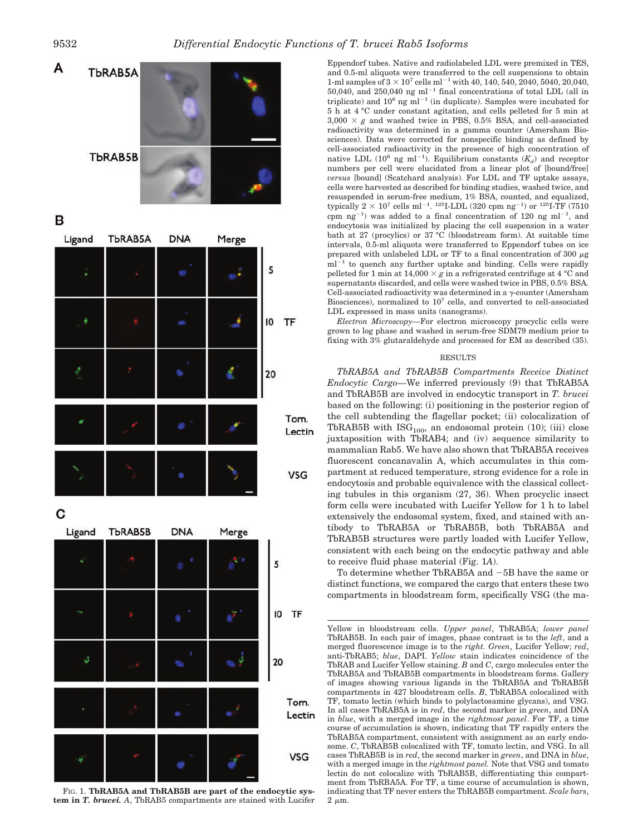

B



C



FIG. 1. **TbRAB5A and TbRAB5B are part of the endocytic system in** *T. brucei. A*, TbRAB5 compartments are stained with Lucifer

Eppendorf tubes. Native and radiolabeled LDL were premixed in TES, and 0.5-ml aliquots were transferred to the cell suspensions to obtain 1-ml samples of  $3 \times 10^7$  cells ml<sup>-1</sup> with 40, 140, 540, 2040, 5040, 20,040,  $50,040$ , and  $250,040$  ng ml<sup>-1</sup> final concentrations of total LDL (all in triplicate) and  $10^6$  ng ml<sup>-1</sup> (in duplicate). Samples were incubated for 5 h at 4 °C under constant agitation, and cells pelleted for 5 min at  $3,000 \times g$  and washed twice in PBS, 0.5% BSA, and cell-associated radioactivity was determined in a gamma counter (Amersham Biosciences). Data were corrected for nonspecific binding as defined by cell-associated radioactivity in the presence of high concentration of native LDL  $(10^6 \text{ ng } \text{ml}^{-1})$ . Equilibrium constants  $(K_d)$  and receptor numbers per cell were elucidated from a linear plot of [bound/free] *versus* [bound] (Scatchard analysis). For LDL and TF uptake assays, cells were harvested as described for binding studies, washed twice, and resuspended in serum-free medium, 1% BSA, counted, and equalized, typically  $2 \times 10^7$  cells ml<sup>-1</sup>. <sup>125</sup>I-LDL (320 cpm ng<sup>-1</sup>) or <sup>125</sup>I-TF (7510 cpm  $ng^{-1}$ ) was added to a final concentration of 120 ng ml<sup>-1</sup>, and endocytosis was initialized by placing the cell suspension in a water bath at 27 (procylics) or 37 °C (bloodstream form). At suitable time intervals, 0.5-ml aliquots were transferred to Eppendorf tubes on ice prepared with unlabeled LDL or TF to a final concentration of 300  $\mu\mathrm{g}$ ml<sup>-1</sup> to quench any further uptake and binding. Cells were rapidly pelleted for 1 min at  $14,000 \times g$  in a refrigerated centrifuge at 4 °C and supernatants discarded, and cells were washed twice in PBS, 0.5% BSA. Cell-associated radioactivity was determined in a  $\gamma$ -counter (Amersham Biosciences), normalized to  $10<sup>7</sup>$  cells, and converted to cell-associated LDL expressed in mass units (nanograms).

*Electron Microscopy—*For electron microscopy procyclic cells were grown to log phase and washed in serum-free SDM79 medium prior to fixing with 3% glutaraldehyde and processed for EM as described (35).

## RESULTS

*TbRAB5A and TbRAB5B Compartments Receive Distinct Endocytic Cargo—*We inferred previously (9) that TbRAB5A and TbRAB5B are involved in endocytic transport in *T. brucei* based on the following: (i) positioning in the posterior region of the cell subtending the flagellar pocket; (ii) colocalization of TbRAB5B with  $\text{ISG}_{100}$ , an endosomal protein (10); (iii) close juxtaposition with TbRAB4; and (iv) sequence similarity to mammalian Rab5. We have also shown that TbRAB5A receives fluorescent concanavalin A, which accumulates in this compartment at reduced temperature, strong evidence for a role in endocytosis and probable equivalence with the classical collecting tubules in this organism (27, 36). When procyclic insect form cells were incubated with Lucifer Yellow for 1 h to label extensively the endosomal system, fixed, and stained with antibody to TbRAB5A or TbRAB5B, both TbRAB5A and TbRAB5B structures were partly loaded with Lucifer Yellow, consistent with each being on the endocytic pathway and able to receive fluid phase material (Fig. 1*A*).

To determine whether TbRAB5A and -5B have the same or distinct functions, we compared the cargo that enters these two compartments in bloodstream form, specifically VSG (the ma-

Yellow in bloodstream cells. *Upper panel*, TbRAB5A; *lower panel* TbRAB5B. In each pair of images, phase contrast is to the *left*, and a merged fluorescence image is to the *right. Green*, Lucifer Yellow; *red*, anti-TbRAB5; *blue*, DAPI. *Yellow* stain indicates coincidence of the TbRAB and Lucifer Yellow staining. *B* and *C*, cargo molecules enter the TbRAB5A and TbRAB5B compartments in bloodstream forms. Gallery of images showing various ligands in the TbRAB5A and TbRAB5B compartments in 427 bloodstream cells. *B*, TbRAB5A colocalized with TF, tomato lectin (which binds to polylactosamine glycans), and VSG. In all cases TbRAB5A is in *red*, the second marker in *green*, and DNA in *blue*, with a merged image in the *rightmost panel*. For TF, a time course of accumulation is shown, indicating that TF rapidly enters the TbRAB5A compartment, consistent with assignment as an early endosome. *C*, TbRAB5B colocalized with TF, tomato lectin, and VSG. In all cases TbRAB5B is in *red*, the second marker in *green*, and DNA in *blue*, with a merged image in the *rightmost panel.* Note that VSG and tomato lectin do not colocalize with TbRAB5B, differentiating this compartment from TbRBA5A. For TF, a time course of accumulation is shown, indicating that TF never enters the TbRAB5B compartment. *Scale bars*,  $2 \mu m$ .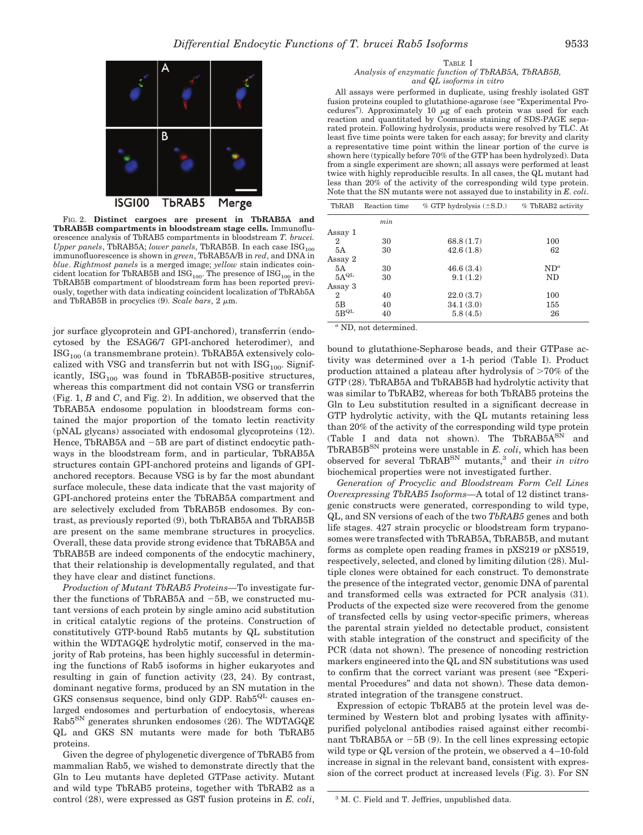

FIG. 2. **Distinct cargoes are present in TbRAB5A and TbRAB5B compartments in bloodstream stage cells.** Immunofluorescence analysis of TbRAB5 compartments in bloodstream *T. brucei. Upper panels*, TbRAB5A; *lower panels*, TbRAB5B. In each case ISG<sub>100</sub> immunofluorescence is shown in *green*, TbRAB5A/B in *red*, and DNA in *blue*. *Rightmost panels* is a merged image; *yellow* stain indicates coincident location for TbRAB5B and  $\mathrm{ISG}_{100}.$  The presence of  $\mathrm{ISG}_{100}$  in the TbRAB5B compartment of bloodstream form has been reported previously, together with data indicating coincident localization of TbRAb5A and TbRAB5B in procyclics  $(9)$ . *Scale bars*,  $2 \mu m$ .

jor surface glycoprotein and GPI-anchored), transferrin (endocytosed by the ESAG6/7 GPI-anchored heterodimer), and  $\text{ISG}_{100}$  (a transmembrane protein). TbRAB5A extensively colocalized with VSG and transferrin but not with  $\text{ISG}_{100}$ . Significantly,  $\text{ISG}_{100}$  was found in TbRAB5B-positive structures, whereas this compartment did not contain VSG or transferrin (Fig. 1, *B* and *C*, and Fig. 2). In addition, we observed that the TbRAB5A endosome population in bloodstream forms contained the major proportion of the tomato lectin reactivity (pNAL glycans) associated with endosomal glycoproteins (12). Hence, TbRAB5A and  $-5B$  are part of distinct endocytic pathways in the bloodstream form, and in particular, TbRAB5A structures contain GPI-anchored proteins and ligands of GPIanchored receptors. Because VSG is by far the most abundant surface molecule, these data indicate that the vast majority of GPI-anchored proteins enter the TbRAB5A compartment and are selectively excluded from TbRAB5B endosomes. By contrast, as previously reported (9), both TbRAB5A and TbRAB5B are present on the same membrane structures in procyclics. Overall, these data provide strong evidence that TbRAB5A and TbRAB5B are indeed components of the endocytic machinery, that their relationship is developmentally regulated, and that they have clear and distinct functions.

*Production of Mutant TbRAB5 Proteins—*To investigate further the functions of TbRAB5A and -5B, we constructed mutant versions of each protein by single amino acid substitution in critical catalytic regions of the proteins. Construction of constitutively GTP-bound Rab5 mutants by QL substitution within the WDTAGQE hydrolytic motif, conserved in the majority of Rab proteins, has been highly successful in determining the functions of Rab5 isoforms in higher eukaryotes and resulting in gain of function activity (23, 24). By contrast, dominant negative forms, produced by an SN mutation in the GKS consensus sequence, bind only GDP.  $Rab5^{QL}$  causes enlarged endosomes and perturbation of endocytosis, whereas Rab5SN generates shrunken endosomes (26). The WDTAGQE QL and GKS SN mutants were made for both TbRAB5 proteins.

Given the degree of phylogenetic divergence of TbRAB5 from mammalian Rab5, we wished to demonstrate directly that the Gln to Leu mutants have depleted GTPase activity. Mutant and wild type TbRAB5 proteins, together with TbRAB2 as a control (28), were expressed as GST fusion proteins in *E. coli*,

All assays were performed in duplicate, using freshly isolated GST fusion proteins coupled to glutathione-agarose (see "Experimental Procedures"). Approximately 10  $\mu$ g of each protein was used for each reaction and quantitated by Coomassie staining of SDS-PAGE separated protein. Following hydrolysis, products were resolved by TLC. At least five time points were taken for each assay; for brevity and clarity a representative time point within the linear portion of the curve is shown here (typically before 70% of the GTP has been hydrolyzed). Data from a single experiment are shown; all assays were performed at least twice with highly reproducible results. In all cases, the QL mutant had less than 20% of the activity of the corresponding wild type protein. Note that the SN mutants were not assayed due to instability in *E. coli*.

| TbRAB          | Reaction time | $\%$ GTP hydrolysis ( $\pm$ S.D.) | % TbRAB2 activity |  |
|----------------|---------------|-----------------------------------|-------------------|--|
|                | min           |                                   |                   |  |
| Assay 1        |               |                                   |                   |  |
| $\overline{2}$ | 30            | 68.8(1.7)                         | 100               |  |
| 5A             | 30            | 42.6(1.8)                         | 62                |  |
| Assay 2        |               |                                   |                   |  |
| 5A             | 30            | 46.6(3.4)                         | $ND^a$            |  |
| $5A^{QL}$      | 30            | 9.1(1.2)                          | ND                |  |
| Assay 3        |               |                                   |                   |  |
| $\mathbf 2$    | 40            | 22.0(3.7)                         | 100               |  |
| 5B             | 40            | 34.1(3.0)                         | 155               |  |
| $5B^{QL}$      | 40            | 5.8(4.5)                          | 26                |  |

*<sup>a</sup>* ND, not determined.

bound to glutathione-Sepharose beads, and their GTPase activity was determined over a 1-h period (Table I). Product production attained a plateau after hydrolysis of  $>70\%$  of the GTP (28). TbRAB5A and TbRAB5B had hydrolytic activity that was similar to TbRAB2, whereas for both TbRAB5 proteins the Gln to Leu substitution resulted in a significant decrease in GTP hydrolytic activity, with the QL mutants retaining less than 20% of the activity of the corresponding wild type protein (Table I and data not shown). The TbRAB5A<sup>SN</sup> and TbRAB5BSN proteins were unstable in *E. coli*, which has been observed for several TbRABSN mutants,3 and their *in vitro* biochemical properties were not investigated further.

*Generation of Procyclic and Bloodstream Form Cell Lines Overexpressing TbRAB5 Isoforms—*A total of 12 distinct transgenic constructs were generated, corresponding to wild type, QL, and SN versions of each of the two *TbRAB5* genes and both life stages. 427 strain procyclic or bloodstream form trypanosomes were transfected with TbRAB5A, TbRAB5B, and mutant forms as complete open reading frames in pXS219 or pXS519, respectively, selected, and cloned by limiting dilution (28). Multiple clones were obtained for each construct. To demonstrate the presence of the integrated vector, genomic DNA of parental and transformed cells was extracted for PCR analysis (31). Products of the expected size were recovered from the genome of transfected cells by using vector-specific primers, whereas the parental strain yielded no detectable product, consistent with stable integration of the construct and specificity of the PCR (data not shown). The presence of noncoding restriction markers engineered into the QL and SN substitutions was used to confirm that the correct variant was present (see "Experimental Procedures" and data not shown). These data demonstrated integration of the transgene construct.

Expression of ectopic TbRAB5 at the protein level was determined by Western blot and probing lysates with affinitypurified polyclonal antibodies raised against either recombinant TbRAB5A or -5B (9). In the cell lines expressing ectopic wild type or QL version of the protein, we observed a 4–10-fold increase in signal in the relevant band, consistent with expression of the correct product at increased levels (Fig. 3). For SN

<sup>3</sup> M. C. Field and T. Jeffries, unpublished data.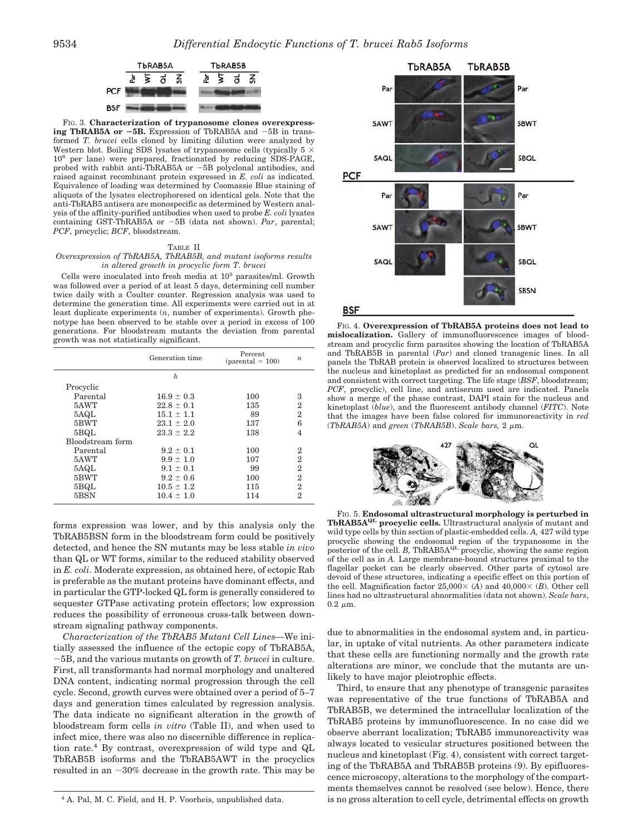

FIG. 3. **Characterization of trypanosome clones overexpressing TbRAB5A or 5B.** Expression of TbRAB5A and -5B in transformed *T. brucei* cells cloned by limiting dilution were analyzed by Western blot. Boiling SDS lysates of trypanosome cells (typically  $5 \times$ 106 per lane) were prepared, fractionated by reducing SDS-PAGE, probed with rabbit anti-TbRAB5A or -5B polyclonal antibodies, and raised against recombinant protein expressed in *E. coli* as indicated. Equivalence of loading was determined by Coomassie Blue staining of aliquots of the lysates electrophoresed on identical gels. Note that the anti-TbRAB5 antisera are monospecific as determined by Western analysis of the affinity-purified antibodies when used to probe *E. coli* lysates containing GST-TbRAB5A or -5B (data not shown). *Par*, parental; *PCF*, procyclic; *BCF*, bloodstream.

#### TABLE II

## *Overexpression of TbRAB5A, TbRAB5B, and mutant isoforms results in altered growth in procyclic form T. brucei*

Cells were inoculated into fresh media at  $10^5$  parasites/ml. Growth was followed over a period of at least 5 days, determining cell number twice daily with a Coulter counter. Regression analysis was used to determine the generation time. All experiments were carried out in at least duplicate experiments (*n*, number of experiments). Growth phenotype has been observed to be stable over a period in excess of 100 generations. For bloodstream mutants the deviation from parental growth was not statistically significant.

| 3              |
|----------------|
| 2              |
| $\overline{2}$ |
| 6              |
| 4              |
|                |
| $\overline{2}$ |
| $\overline{2}$ |
| $\overline{2}$ |
| $\overline{2}$ |
| $\overline{2}$ |
| 2              |
|                |

forms expression was lower, and by this analysis only the TbRAB5BSN form in the bloodstream form could be positively detected, and hence the SN mutants may be less stable *in vivo* than QL or WT forms, similar to the reduced stability observed in *E. coli*. Moderate expression, as obtained here, of ectopic Rab is preferable as the mutant proteins have dominant effects, and in particular the GTP-locked QL form is generally considered to sequester GTPase activating protein effectors; low expression reduces the possibility of erroneous cross-talk between downstream signaling pathway components.

*Characterization of the TbRAB5 Mutant Cell Lines—*We initially assessed the influence of the ectopic copy of TbRAB5A, -5B, and the various mutants on growth of *T. brucei* in culture. First, all transformants had normal morphology and unaltered DNA content, indicating normal progression through the cell cycle. Second, growth curves were obtained over a period of 5–7 days and generation times calculated by regression analysis. The data indicate no significant alteration in the growth of bloodstream form cells *in vitro* (Table II), and when used to infect mice, there was also no discernible difference in replication rate.<sup>4</sup> By contrast, overexpression of wild type and  $Q<sub>L</sub>$ TbRAB5B isoforms and the TbRAB5AWT in the procyclics resulted in an  $\sim$ 30% decrease in the growth rate. This may be



FIG. 4. **Overexpression of TbRAB5A proteins does not lead to mislocalization.** Gallery of immunofluorescence images of bloodstream and procyclic form parasites showing the location of TbRAB5A and TbRAB5B in parental (*Par*) and cloned transgenic lines. In all panels the TbRAB protein is observed localized to structures between the nucleus and kinetoplast as predicted for an endosomal component and consistent with correct targeting. The life stage (*BSF*, bloodstream; *PCF*, procyclic), cell line, and antiserum used are indicated. Panels show a merge of the phase contrast, DAPI stain for the nucleus and kinetoplast (*blue*), and the fluorescent antibody channel (*FITC*). Note that the images have been false colored for immunoreactivity in *red*  $(TbRAB5A)$  and *green*  $(TbRAB5B)$ . *Scale bars*, 2  $\mu$ m.



FIG. 5. **Endosomal ultrastructural morphology is perturbed in TbRAB5AQL procyclic cells.** Ultrastructural analysis of mutant and wild type cells by thin section of plastic-embedded cells. *A,* 427 wild type procyclic showing the endosomal region of the trypanosome in the posterior of the cell. *B*, TbRAB5A<sup>QL</sup> procyclic, showing the same region of the cell as in *A.* Large membrane-bound structures proximal to the flagellar pocket can be clearly observed. Other parts of cytosol are devoid of these structures, indicating a specific effect on this portion of the cell. Magnification factor  $25,000 \times (A)$  and  $40,000 \times (B)$ . Other cell lines had no ultrastructural abnormalities (data not shown). *Scale bars*,  $0.2 \mu m$ .

due to abnormalities in the endosomal system and, in particular, in uptake of vital nutrients. As other parameters indicate that these cells are functioning normally and the growth rate alterations are minor, we conclude that the mutants are unlikely to have major pleiotrophic effects.

Third, to ensure that any phenotype of transgenic parasites was representative of the true functions of TbRAB5A and TbRAB5B, we determined the intracellular localization of the TbRAB5 proteins by immunofluorescence. In no case did we observe aberrant localization; TbRAB5 immunoreactivity was always located to vesicular structures positioned between the nucleus and kinetoplast (Fig. 4), consistent with correct targeting of the TbRAB5A and TbRAB5B proteins (9). By epifluorescence microscopy, alterations to the morphology of the compartments themselves cannot be resolved (see below). Hence, there <sup>4</sup> A. Pal, M. C. Field, and H. P. Voorheis, unpublished data. is no gross alteration to cell cycle, detrimental effects on growth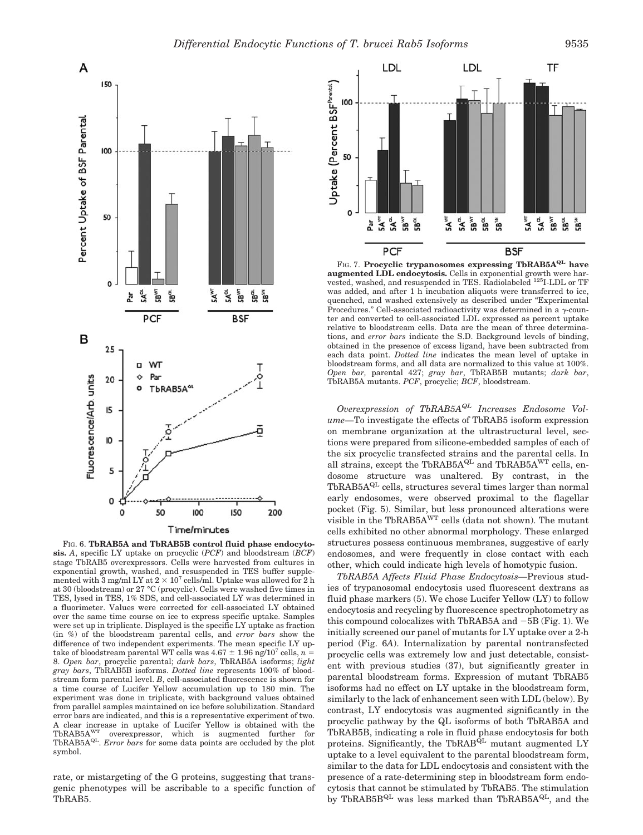

FIG. 6. **TbRAB5A and TbRAB5B control fluid phase endocytosis.** *A*, specific LY uptake on procyclic (*PCF*) and bloodstream (*BCF*) stage TbRAB5 overexpressors. Cells were harvested from cultures in exponential growth, washed, and resuspended in TES buffer supplemented with 3 mg/ml LY at  $2 \times 10^7$  cells/ml. Uptake was allowed for 2 h at 30 (bloodstream) or 27 °C (procyclic). Cells were washed five times in TES, lysed in TES, 1% SDS, and cell-associated LY was determined in a fluorimeter. Values were corrected for cell-associated LY obtained over the same time course on ice to express specific uptake. Samples were set up in triplicate. Displayed is the specific LY uptake as fraction (in %) of the bloodstream parental cells, and *error bars* show the difference of two independent experiments. The mean specific LY uptake of bloodstream parental WT cells was  $4.67 \pm 1.96$  ng/ $10^7$  cells,  $n =$ 8. *Open bar*, procyclic parental; *dark bars*, TbRAB5A isoforms; *light gray bars*, TbRAB5B isoforms. *Dotted line* represents 100% of bloodstream form parental level. *B*, cell-associated fluorescence is shown for a time course of Lucifer Yellow accumulation up to 180 min. The experiment was done in triplicate, with background values obtained from parallel samples maintained on ice before solubilization. Standard error bars are indicated, and this is a representative experiment of two. A clear increase in uptake of Lucifer Yellow is obtained with the TbRAB5AWT overexpressor, which is augmented further for TbRAB5AQL. *Error bars* for some data points are occluded by the plot symbol.

rate, or mistargeting of the G proteins, suggesting that transgenic phenotypes will be ascribable to a specific function of TbRAB5.



FIG. 7. Procyclic trypanosomes expressing TbRAB5A<sup>QL</sup> have **augmented LDL endocytosis.** Cells in exponential growth were harvested, washed, and resuspended in TES. Radiolabeled 125I-LDL or TF was added, and after 1 h incubation aliquots were transferred to ice, quenched, and washed extensively as described under "Experimental Procedures." Cell-associated radioactivity was determined in a  $\gamma$ -counter and converted to cell-associated LDL expressed as percent uptake relative to bloodstream cells. Data are the mean of three determinations, and *error bars* indicate the S.D. Background levels of binding, obtained in the presence of excess ligand, have been subtracted from each data point. *Dotted line* indicates the mean level of uptake in bloodstream forms, and all data are normalized to this value at 100%. *Open bar,* parental 427; *gray bar*, TbRAB5B mutants; *dark bar*, TbRAB5A mutants. *PCF*, procyclic; *BCF*, bloodstream.

*Overexpression of TbRAB5AQL Increases Endosome Volume—*To investigate the effects of TbRAB5 isoform expression on membrane organization at the ultrastructural level, sections were prepared from silicone-embedded samples of each of the six procyclic transfected strains and the parental cells. In all strains, except the TbRAB5 $A^{QL}$  and TbRAB5 $A^{WT}$  cells, endosome structure was unaltered. By contrast, in the  $TbRAB5A^{QL}$  cells, structures several times larger than normal early endosomes, were observed proximal to the flagellar pocket (Fig. 5). Similar, but less pronounced alterations were visible in the TbRAB5AWT cells (data not shown). The mutant cells exhibited no other abnormal morphology. These enlarged structures possess continuous membranes, suggestive of early endosomes, and were frequently in close contact with each other, which could indicate high levels of homotypic fusion.

*TbRAB5A Affects Fluid Phase Endocytosis—*Previous studies of trypanosomal endocytosis used fluorescent dextrans as fluid phase markers (5). We chose Lucifer Yellow (LY) to follow endocytosis and recycling by fluorescence spectrophotometry as this compound colocalizes with TbRAB5A and -5B (Fig. 1). We initially screened our panel of mutants for LY uptake over a 2-h period (Fig. 6*A*). Internalization by parental nontransfected procyclic cells was extremely low and just detectable, consistent with previous studies (37), but significantly greater in parental bloodstream forms. Expression of mutant TbRAB5 isoforms had no effect on LY uptake in the bloodstream form, similarly to the lack of enhancement seen with LDL (below). By contrast, LY endocytosis was augmented significantly in the procyclic pathway by the QL isoforms of both TbRAB5A and TbRAB5B, indicating a role in fluid phase endocytosis for both proteins. Significantly, the  $ThRAB^{QL}$  mutant augmented LY uptake to a level equivalent to the parental bloodstream form, similar to the data for LDL endocytosis and consistent with the presence of a rate-determining step in bloodstream form endocytosis that cannot be stimulated by TbRAB5. The stimulation by TbRAB5B $^{QL}$  was less marked than TbRAB5A $^{QL}$ , and the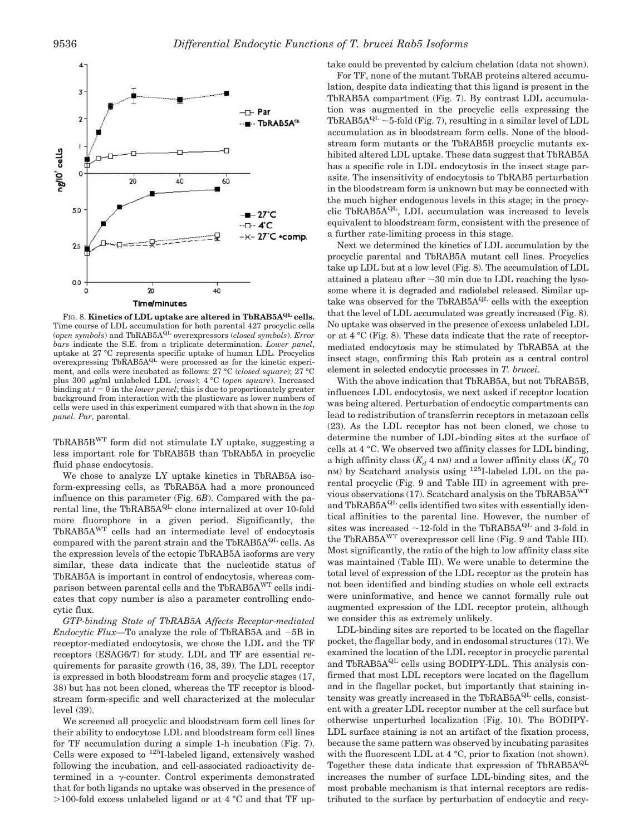

FIG. 8. **Kinetics of LDL uptake are altered in TbRAB5A<sup>QL</sup> cells.** Time course of LDL accumulation for both parental 427 procyclic cells (*open symbols*) and TbRAB5AQL overexpressors (*closed symbols*). *Error bars* indicate the S.E. from a triplicate determination. *Lower panel*, uptake at 27 °C represents specific uptake of human LDL. Procyclics overexpressing TbRAB5AQL were processed as for the kinetic experiment, and cells were incubated as follows: 27 °C (*closed square*); 27 °C plus 300 g/ml unlabeled LDL (*cross*); 4 °C (*open square*). Increased binding at  $t = 0$  in the *lower panel*; this is due to proportionately greater background from interaction with the plasticware as lower numbers of cells were used in this experiment compared with that shown in the *top panel. Par*, parental.

TbRAB5BWT form did not stimulate LY uptake, suggesting a less important role for TbRAB5B than TbRAb5A in procyclic fluid phase endocytosis.

We chose to analyze LY uptake kinetics in TbRAB5A isoform-expressing cells, as TbRAB5A had a more pronounced influence on this parameter (Fig. 6*B*). Compared with the parental line, the TbRAB $5A^{QL}$  clone internalized at over 10-fold more fluorophore in a given period. Significantly, the TbRAB5AWT cells had an intermediate level of endocytosis compared with the parent strain and the TbRAB5 $A^{QL}$  cells. As the expression levels of the ectopic TbRAB5A isoforms are very similar, these data indicate that the nucleotide status of TbRAB5A is important in control of endocytosis, whereas comparison between parental cells and the TbRAB5AWT cells indicates that copy number is also a parameter controlling endocytic flux.

*GTP-binding State of TbRAB5A Affects Receptor-mediated Endocytic Flux—*To analyze the role of TbRAB5A and -5B in receptor-mediated endocytosis, we chose the LDL and the TF receptors (ESAG6/7) for study. LDL and TF are essential requirements for parasite growth (16, 38, 39). The LDL receptor is expressed in both bloodstream form and procyclic stages (17, 38) but has not been cloned, whereas the TF receptor is bloodstream form-specific and well characterized at the molecular level (39).

We screened all procyclic and bloodstream form cell lines for their ability to endocytose LDL and bloodstream form cell lines for TF accumulation during a simple 1-h incubation (Fig. 7). Cells were exposed to  $125$ I-labeled ligand, extensively washed following the incubation, and cell-associated radioactivity determined in a  $\gamma$ -counter. Control experiments demonstrated that for both ligands no uptake was observed in the presence of  $>$ 100-fold excess unlabeled ligand or at 4 °C and that TF uptake could be prevented by calcium chelation (data not shown).

For TF, none of the mutant TbRAB proteins altered accumulation, despite data indicating that this ligand is present in the TbRAB5A compartment (Fig. 7). By contrast LDL accumulation was augmented in the procyclic cells expressing the TbRAB5A $^{QL}$  ~5-fold (Fig. 7), resulting in a similar level of LDL accumulation as in bloodstream form cells. None of the bloodstream form mutants or the TbRAB5B procyclic mutants exhibited altered LDL uptake. These data suggest that TbRAB5A has a specific role in LDL endocytosis in the insect stage parasite. The insensitivity of endocytosis to TbRAB5 perturbation in the bloodstream form is unknown but may be connected with the much higher endogenous levels in this stage; in the procyclic TbRAB5A<sup>QL</sup>, LDL accumulation was increased to levels equivalent to bloodstream form, consistent with the presence of a further rate-limiting process in this stage.

Next we determined the kinetics of LDL accumulation by the procyclic parental and TbRAB5A mutant cell lines. Procyclics take up LDL but at a low level (Fig. 8). The accumulation of LDL attained a plateau after  $\sim$  30 min due to LDL reaching the lysosome where it is degraded and radiolabel released. Similar uptake was observed for the TbRAB5A $^{QL}$  cells with the exception that the level of LDL accumulated was greatly increased (Fig. 8). No uptake was observed in the presence of excess unlabeled LDL or at 4 °C (Fig. 8). These data indicate that the rate of receptormediated endocytosis may be stimulated by TbRAB5A at the insect stage, confirming this Rab protein as a central control element in selected endocytic processes in *T. brucei*.

With the above indication that TbRAB5A, but not TbRAB5B, influences LDL endocytosis, we next asked if receptor location was being altered. Perturbation of endocytic compartments can lead to redistribution of transferrin receptors in metazoan cells (23). As the LDL receptor has not been cloned, we chose to determine the number of LDL-binding sites at the surface of cells at 4 °C. We observed two affinity classes for LDL binding, a high affinity class  $(K_d 4 \text{ nm})$  and a lower affinity class  $(K_d 70 \text{ nm})$ nM) by Scatchard analysis using <sup>125</sup>I-labeled LDL on the parental procyclic (Fig. 9 and Table III) in agreement with previous observations (17). Scatchard analysis on the TbRAB5AWT and TbRAB5A<sup>QL</sup> cells identified two sites with essentially identical affinities to the parental line. However, the number of sites was increased  ${\sim}12\text{-fold}$  in the TbRAB5A $\mathrm{^{QL}}$  and 3-fold in the TbRAB5AWT overexpressor cell line (Fig. 9 and Table III). Most significantly, the ratio of the high to low affinity class site was maintained (Table III). We were unable to determine the total level of expression of the LDL receptor as the protein has not been identified and binding studies on whole cell extracts were uninformative, and hence we cannot formally rule out augmented expression of the LDL receptor protein, although we consider this as extremely unlikely.

LDL-binding sites are reported to be located on the flagellar pocket, the flagellar body, and in endosomal structures (17). We examined the location of the LDL receptor in procyclic parental and TbRAB5 $A^{QL}$  cells using BODIPY-LDL. This analysis confirmed that most LDL receptors were located on the flagellum and in the flagellar pocket, but importantly that staining intensity was greatly increased in the TbRAB5 $A^{QL}$  cells, consistent with a greater LDL receptor number at the cell surface but otherwise unperturbed localization (Fig. 10). The BODIPY-LDL surface staining is not an artifact of the fixation process, because the same pattern was observed by incubating parasites with the fluorescent LDL at 4 °C, prior to fixation (not shown). Together these data indicate that expression of TbRAB5A<sup>QL</sup> increases the number of surface LDL-binding sites, and the most probable mechanism is that internal receptors are redistributed to the surface by perturbation of endocytic and recy-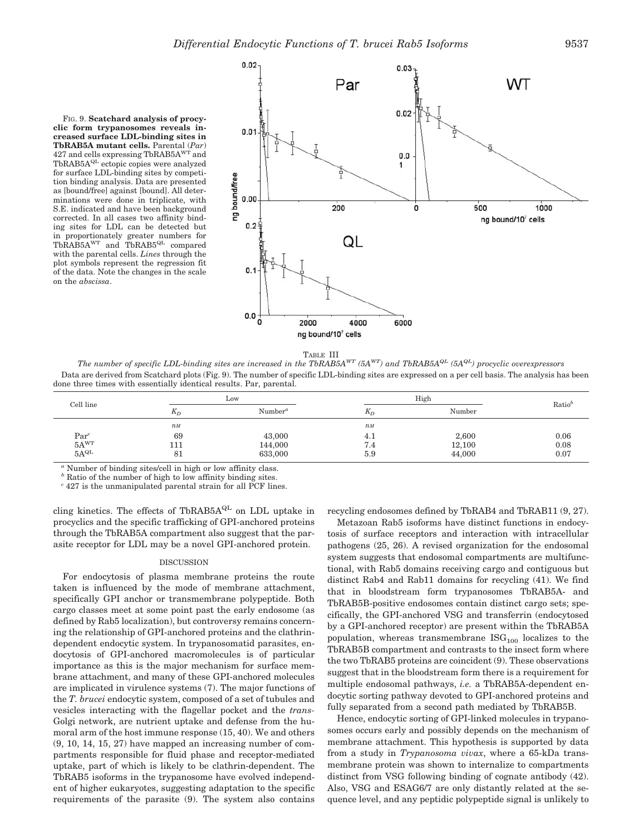FIG. 9. **Scatchard analysis of procyclic form trypanosomes reveals increased surface LDL-binding sites in TbRAB5A mutant cells.** Parental (*Par*) 427 and cells expressing TbRAB5A<sup>WT</sup> and TbRAB5A<sup>QL</sup> ectopic copies were analyzed for surface LDL-binding sites by competition binding analysis. Data are presented as [bound/free] against [bound]. All determinations were done in triplicate, with S.E. indicated and have been background corrected. In all cases two affinity binding sites for LDL can be detected but in proportionately greater numbers for TbRAB5A<sup>WT</sup> and TbRAB5<sup>QL</sup> compared with the parental cells. *Lines* through the plot symbols represent the regression fit of the data. Note the changes in the scale on the *abscissa*.



TABLE III

*The number of specific LDL-binding sites are increased in the TbRAB5A<sup>WT</sup>*  $(5A^{WT})$  *and TbRAB5A<sup>QL</sup>*  $(5A^{QL})$  *procyclic overexpressors* Data are derived from Scatchard plots (Fig. 9). The number of specific LDL-binding sites are expressed on a per cell basis. The analysis has been done three times with essentially identical results. Par, parental.

| Cell line                                                                                                 | Low   |                                  | High             |        |       |
|-----------------------------------------------------------------------------------------------------------|-------|----------------------------------|------------------|--------|-------|
|                                                                                                           | $K_D$ | Number <sup><math>a</math></sup> | $K_D$            | Number | Ratio |
|                                                                                                           | $n_M$ |                                  | $n$ <sub>M</sub> |        |       |
|                                                                                                           | 69    | 43,000                           | 4.1              | 2,600  | 0.06  |
| $\begin{array}{c} \mathbf{Par}^c \\ 5 \mathbf{A}^{\mathbf{WT}} \\ 5 \mathbf{A}^{\mathbf{QL}} \end{array}$ | 111   | 144,000                          | 7.4              | 12,100 | 0.08  |
|                                                                                                           | 81    | 633,000                          | 5.9              | 44,000 | 0.07  |

*<sup>a</sup>* Number of binding sites/cell in high or low affinity class.

*<sup>b</sup>* Ratio of the number of high to low affinity binding sites.

*<sup>c</sup>* 427 is the unmanipulated parental strain for all PCF lines.

cling kinetics. The effects of TbRAB5A<sup>QL</sup> on LDL uptake in procyclics and the specific trafficking of GPI-anchored proteins through the TbRAB5A compartment also suggest that the parasite receptor for LDL may be a novel GPI-anchored protein.

# DISCUSSION

For endocytosis of plasma membrane proteins the route taken is influenced by the mode of membrane attachment, specifically GPI anchor or transmembrane polypeptide. Both cargo classes meet at some point past the early endosome (as defined by Rab5 localization), but controversy remains concerning the relationship of GPI-anchored proteins and the clathrindependent endocytic system. In trypanosomatid parasites, endocytosis of GPI-anchored macromolecules is of particular importance as this is the major mechanism for surface membrane attachment, and many of these GPI-anchored molecules are implicated in virulence systems (7). The major functions of the *T. brucei* endocytic system, composed of a set of tubules and vesicles interacting with the flagellar pocket and the *trans-*Golgi network, are nutrient uptake and defense from the humoral arm of the host immune response (15, 40). We and others (9, 10, 14, 15, 27) have mapped an increasing number of compartments responsible for fluid phase and receptor-mediated uptake, part of which is likely to be clathrin-dependent. The TbRAB5 isoforms in the trypanosome have evolved independent of higher eukaryotes, suggesting adaptation to the specific requirements of the parasite (9). The system also contains

recycling endosomes defined by TbRAB4 and TbRAB11 (9, 27).

Metazoan Rab5 isoforms have distinct functions in endocytosis of surface receptors and interaction with intracellular pathogens (25, 26). A revised organization for the endosomal system suggests that endosomal compartments are multifunctional, with Rab5 domains receiving cargo and contiguous but distinct Rab4 and Rab11 domains for recycling (41). We find that in bloodstream form trypanosomes TbRAB5A- and TbRAB5B-positive endosomes contain distinct cargo sets; specifically, the GPI-anchored VSG and transferrin (endocytosed by a GPI-anchored receptor) are present within the TbRAB5A population, whereas transmembrane  $\text{ISG}_{100}$  localizes to the TbRAB5B compartment and contrasts to the insect form where the two TbRAB5 proteins are coincident (9). These observations suggest that in the bloodstream form there is a requirement for multiple endosomal pathways, *i.e.* a TbRAB5A-dependent endocytic sorting pathway devoted to GPI-anchored proteins and fully separated from a second path mediated by TbRAB5B.

Hence, endocytic sorting of GPI-linked molecules in trypanosomes occurs early and possibly depends on the mechanism of membrane attachment. This hypothesis is supported by data from a study in *Trypanosoma vivax*, where a 65-kDa transmembrane protein was shown to internalize to compartments distinct from VSG following binding of cognate antibody (42). Also, VSG and ESAG6/7 are only distantly related at the sequence level, and any peptidic polypeptide signal is unlikely to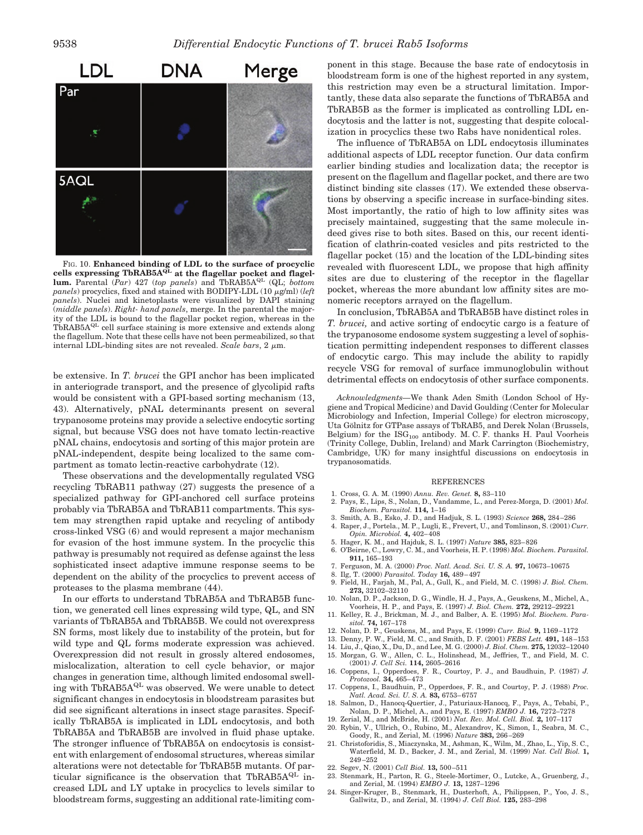

FIG. 10. **Enhanced binding of LDL to the surface of procyclic** cells expressing TbRAB5A<sup>QL</sup> at the flagellar pocket and flagellum. Parental (*Par*) 427 (*top panels*) and TbRAB5A<sup>QL</sup> (QL; *bottom panels*) procyclics, fixed and stained with BODIPY-LDL (10 µg/ml) (*left panels*). Nuclei and kinetoplasts were visualized by DAPI staining (*middle panels*). *Right- hand panels*, merge. In the parental the majority of the LDL is bound to the flagellar pocket region, whereas in the TbRAB5A<sup>QL</sup> cell surface staining is more extensive and extends along the flagellum. Note that these cells have not been permeabilized, so that internal LDL-binding sites are not revealed. *Scale bars*,  $2 \mu m$ .

be extensive. In *T. brucei* the GPI anchor has been implicated in anteriograde transport, and the presence of glycolipid rafts would be consistent with a GPI-based sorting mechanism (13, 43). Alternatively, pNAL determinants present on several trypanosome proteins may provide a selective endocytic sorting signal, but because VSG does not have tomato lectin-reactive pNAL chains, endocytosis and sorting of this major protein are pNAL-independent, despite being localized to the same compartment as tomato lectin-reactive carbohydrate (12).

These observations and the developmentally regulated VSG recycling TbRAB11 pathway (27) suggests the presence of a specialized pathway for GPI-anchored cell surface proteins probably via TbRAB5A and TbRAB11 compartments. This system may strengthen rapid uptake and recycling of antibody cross-linked VSG (6) and would represent a major mechanism for evasion of the host immune system. In the procyclic this pathway is presumably not required as defense against the less sophisticated insect adaptive immune response seems to be dependent on the ability of the procyclics to prevent access of proteases to the plasma membrane (44).

In our efforts to understand TbRAB5A and TbRAB5B function, we generated cell lines expressing wild type, QL, and SN variants of TbRAB5A and TbRAB5B. We could not overexpress SN forms, most likely due to instability of the protein, but for wild type and QL forms moderate expression was achieved. Overexpression did not result in grossly altered endosomes, mislocalization, alteration to cell cycle behavior, or major changes in generation time, although limited endosomal swelling with  $TbRAB5A^{QL}$  was observed. We were unable to detect significant changes in endocytosis in bloodstream parasites but did see significant alterations in insect stage parasites. Specifically TbRAB5A is implicated in LDL endocytosis, and both TbRAB5A and TbRAB5B are involved in fluid phase uptake. The stronger influence of TbRAB5A on endocytosis is consistent with enlargement of endosomal structures, whereas similar alterations were not detectable for TbRAB5B mutants. Of particular significance is the observation that TbRAB5A $^{QL}$  increased LDL and LY uptake in procyclics to levels similar to bloodstream forms, suggesting an additional rate-limiting component in this stage. Because the base rate of endocytosis in bloodstream form is one of the highest reported in any system, this restriction may even be a structural limitation. Importantly, these data also separate the functions of TbRAB5A and TbRAB5B as the former is implicated as controlling LDL endocytosis and the latter is not, suggesting that despite colocalization in procyclics these two Rabs have nonidentical roles.

The influence of TbRAB5A on LDL endocytosis illuminates additional aspects of LDL receptor function. Our data confirm earlier binding studies and localization data; the receptor is present on the flagellum and flagellar pocket, and there are two distinct binding site classes (17). We extended these observations by observing a specific increase in surface-binding sites. Most importantly, the ratio of high to low affinity sites was precisely maintained, suggesting that the same molecule indeed gives rise to both sites. Based on this, our recent identification of clathrin-coated vesicles and pits restricted to the flagellar pocket (15) and the location of the LDL-binding sites revealed with fluorescent LDL, we propose that high affinity sites are due to clustering of the receptor in the flagellar pocket, whereas the more abundant low affinity sites are monomeric receptors arrayed on the flagellum.

In conclusion, TbRAB5A and TbRAB5B have distinct roles in *T. brucei,* and active sorting of endocytic cargo is a feature of the trypanosome endosome system suggesting a level of sophistication permitting independent responses to different classes of endocytic cargo. This may include the ability to rapidly recycle VSG for removal of surface immunoglobulin without detrimental effects on endocytosis of other surface components.

*Acknowledgments—*We thank Aden Smith (London School of Hygiene and Tropical Medicine) and David Goulding (Center for Molecular Microbiology and Infection, Imperial College) for electron microscopy, Uta Gölnitz for GTPase assays of TbRAB5, and Derek Nolan (Brussels, Belgium) for the  $\text{ISG}_{100}$  antibody. M. C. F. thanks H. Paul Voorheis (Trinity College, Dublin, Ireland) and Mark Carrington (Biochemistry, Cambridge, UK) for many insightful discussions on endocytosis in trypanosomatids.

#### **REFERENCES**

- 1. Cross, G. A. M. (1990) *Annu. Rev. Genet.* **8,** 83–110
- 2. Pays, E., Lips, S., Nolan, D., Vandamme, L., and Perez-Morga, D. (2001) *Mol. Biochem. Parasitol.* **114,** 1–16
- 3. Smith, A. B., Esko, J. D., and Hadjuk, S. L. (1993) *Science* **268,** 284–286
- 4. Raper, J., Portela., M. P., Lugli, E., Frevert, U., and Tomlinson, S. (2001) *Curr. Opin. Microbiol.* **4,** 402–408
- 5. Hager, K. M., and Hajduk, S. L. (1997) *Nature* **385,** 823–826
- 6. O'Beirne, C., Lowry, C. M., and Voorheis, H. P. (1998) *Mol. Biochem. Parasitol.* **911,** 165–193
- 7. Ferguson, M. A. (2000) *Proc. Natl. Acad. Sci. U. S. A.* **97,** 10673–10675
- 
- 8. Ilg, T. (2000) *Parasitol. Today* **16,** 489–497 9. Field, H., Farjah, M., Pal, A., Gull, K., and Field, M. C. (1998) *J. Biol. Chem.* **273,** 32102–32110
- 10. Nolan, D. P., Jackson, D. G., Windle, H. J., Pays, A., Geuskens, M., Michel, A., Voorheis, H. P., and Pays, E. (1997) *J. Biol. Chem.* **272,** 29212–29221
- 11. Kelley, R. J., Brickman, M. J., and Balber, A. E. (1995) *Mol. Biochem. Parasitol.* **74,** 167–178
- 12. Nolan, D. P., Geuskens, M., and Pays, E. (1999) *Curr. Biol.* **9,** 1169–1172
- 13. Denny, P. W., Field, M. C., and Smith, D. F. (2001) *FEBS Lett.* **491,** 148–153
- 14. Liu, J., Qiao, X., Du, D., and Lee, M. G. (2000) *J. Biol. Chem.* **275,** 12032–12040 15. Morgan, G. W., Allen, C. L., Holinshead, M., Jeffries, T., and Field, M. C.
- (2001) *J. Cell Sci.* **114,** 2605–2616
- 16. Coppens, I., Opperdoes, F. R., Courtoy, P. J., and Baudhuin, P. (1987) *J. Protozool.* **34,** 465–473
- 17. Coppens, I., Baudhuin, P., Opperdoes, F. R., and Courtoy, P. J. (1988) *Proc. Natl. Acad. Sci. U. S. A.* **83,** 6753–6757
- 18. Salmon, D., Hanocq-Quertier, J., Paturiaux-Hanocq, F., Pays, A., Tebabi, P., Nolan, D. P., Michel, A., and Pays, E. (1997) *EMBO J.* **16,** 7272–7278
- 19. Zerial, M., and McBride, H. (2001) *Nat. Rev. Mol. Cell. Biol.* **2,** 107–117 20. Rybin, V., Ullrich, O., Rubino, M., Alexandrov, K., Simon, I., Seabra, M. C.,
- Goody, R., and Zerial, M. (1996) *Nature* **383,** 266–269
- 21. Christoforidis, S., Miaczynska, M., Ashman, K., Wilm, M., Zhao, L., Yip, S. C., Waterfield, M. D., Backer, J. M., and Zerial, M. (1999) *Nat. Cell Biol.* **1,** 249–252
- 22. Segev, N. (2001) *Cell Biol.* **13,** 500–511
- 23. Stenmark, H., Parton, R. G., Steele-Mortimer, O., Lutcke, A., Gruenberg, J., and Zerial, M. (1994) *EMBO J.* **13,** 1287–1296
- 24. Singer-Kruger, B., Stenmark, H., Dusterhoft, A., Philippsen, P., Yoo, J. S., Gallwitz, D., and Zerial, M. (1994) *J. Cell Biol.* **125,** 283–298